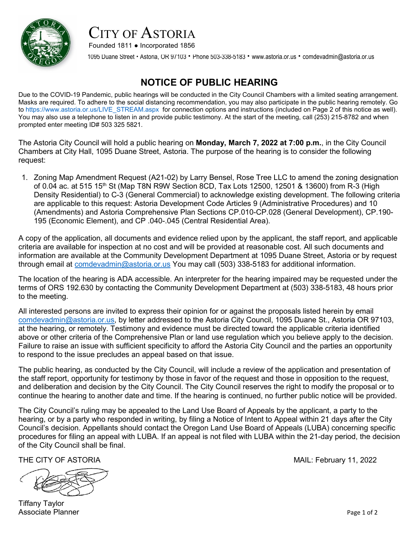

## CITY OF ASTORIA

Founded 1811 ● Incorporated 1856

1095 Duane Street · Astoria, OR 97103 · Phone 503-338-5183 · [www.astoria.or.us](http://www.astoria.or.us/) · comdevadmin@astoria.or.us

#### **NOTICE OF PUBLIC HEARING**

Due to the COVID-19 Pandemic, public hearings will be conducted in the City Council Chambers with a limited seating arrangement. Masks are required. To adhere to the social distancing recommendation, you may also participate in the public hearing remotely. Go to [https://www.astoria.or.us/LIVE\\_STREAM.aspx](https://www.astoria.or.us/LIVE_STREAM.aspx) for connection options and instructions (included on Page 2 of this notice as well). You may also use a telephone to listen in and provide public testimony. At the start of the meeting, call (253) 215-8782 and when prompted enter meeting ID# 503 325 5821.

The Astoria City Council will hold a public hearing on **Monday, March 7, 2022 at 7:00 p.m.**, in the City Council Chambers at City Hall, 1095 Duane Street, Astoria. The purpose of the hearing is to consider the following request:

1. Zoning Map Amendment Request (A21-02) by Larry Bensel, Rose Tree LLC to amend the zoning designation of 0.04 ac. at 515 15<sup>th</sup> St (Map T8N R9W Section 8CD, Tax Lots 12500, 12501 & 13600) from R-3 (High Density Residential) to C-3 (General Commercial) to acknowledge existing development. The following criteria are applicable to this request: Astoria Development Code Articles 9 (Administrative Procedures) and 10 (Amendments) and Astoria Comprehensive Plan Sections CP.010-CP.028 (General Development), CP.190- 195 (Economic Element), and CP .040-.045 (Central Residential Area).

A copy of the application, all documents and evidence relied upon by the applicant, the staff report, and applicable criteria are available for inspection at no cost and will be provided at reasonable cost. All such documents and information are available at the Community Development Department at 1095 Duane Street, Astoria or by request through email at [comdevadmin@astoria.or.us](mailto:comdevadmin@astoria.or.us) You may call (503) 338-5183 for additional information.

The location of the hearing is ADA accessible. An interpreter for the hearing impaired may be requested under the terms of ORS 192.630 by contacting the Community Development Department at (503) 338-5183, 48 hours prior to the meeting.

All interested persons are invited to express their opinion for or against the proposals listed herein by email [comdevadmin@astoria.or.us,](mailto:comdevadmin@astoria.or.us) by letter addressed to the Astoria City Council, 1095 Duane St., Astoria OR 97103, at the hearing, or remotely. Testimony and evidence must be directed toward the applicable criteria identified above or other criteria of the Comprehensive Plan or land use regulation which you believe apply to the decision. Failure to raise an issue with sufficient specificity to afford the Astoria City Council and the parties an opportunity to respond to the issue precludes an appeal based on that issue.

The public hearing, as conducted by the City Council, will include a review of the application and presentation of the staff report, opportunity for testimony by those in favor of the request and those in opposition to the request, and deliberation and decision by the City Council. The City Council reserves the right to modify the proposal or to continue the hearing to another date and time. If the hearing is continued, no further public notice will be provided.

The City Council's ruling may be appealed to the Land Use Board of Appeals by the applicant, a party to the hearing, or by a party who responded in writing, by filing a Notice of Intent to Appeal within 21 days after the City Council's decision. Appellants should contact the Oregon Land Use Board of Appeals (LUBA) concerning specific procedures for filing an appeal with LUBA. If an appeal is not filed with LUBA within the 21-day period, the decision of the City Council shall be final.



Tiffany Taylor Associate Planner Page 1 of 2

THE CITY OF ASTORIA MAIL: February 11, 2022